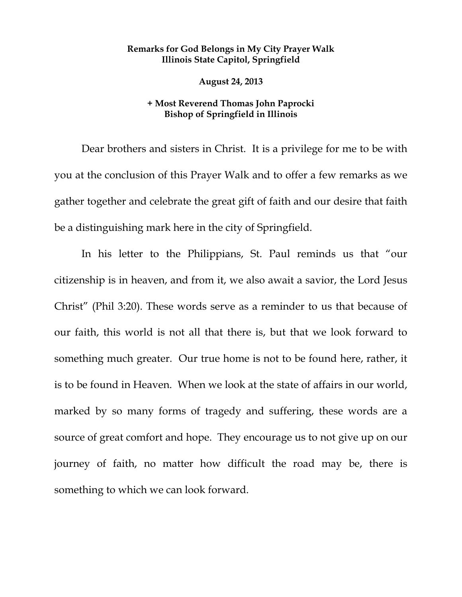## **Remarks for God Belongs in My City Prayer Walk Illinois State Capitol, Springfield**

 **August 24, 2013** 

## **+ Most Reverend Thomas John Paprocki Bishop of Springfield in Illinois**

Dear brothers and sisters in Christ. It is a privilege for me to be with you at the conclusion of this Prayer Walk and to offer a few remarks as we gather together and celebrate the great gift of faith and our desire that faith be a distinguishing mark here in the city of Springfield.

In his letter to the Philippians, St. Paul reminds us that "our citizenship is in heaven, and from it, we also await a savior, the Lord Jesus Christ" (Phil 3:20). These words serve as a reminder to us that because of our faith, this world is not all that there is, but that we look forward to something much greater. Our true home is not to be found here, rather, it is to be found in Heaven. When we look at the state of affairs in our world, marked by so many forms of tragedy and suffering, these words are a source of great comfort and hope. They encourage us to not give up on our journey of faith, no matter how difficult the road may be, there is something to which we can look forward.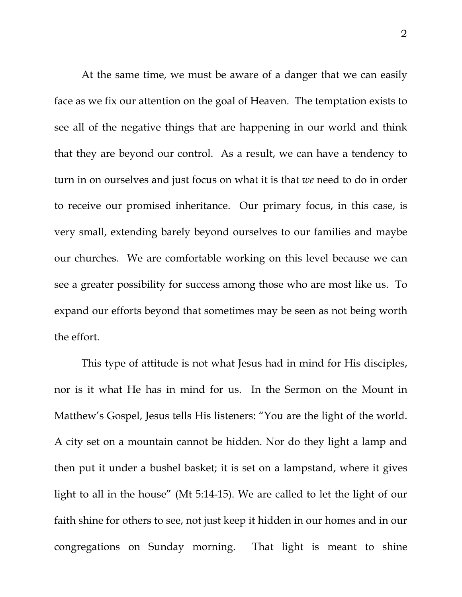At the same time, we must be aware of a danger that we can easily face as we fix our attention on the goal of Heaven. The temptation exists to see all of the negative things that are happening in our world and think that they are beyond our control. As a result, we can have a tendency to turn in on ourselves and just focus on what it is that *we* need to do in order to receive our promised inheritance. Our primary focus, in this case, is very small, extending barely beyond ourselves to our families and maybe our churches. We are comfortable working on this level because we can see a greater possibility for success among those who are most like us. To expand our efforts beyond that sometimes may be seen as not being worth the effort.

This type of attitude is not what Jesus had in mind for His disciples, nor is it what He has in mind for us. In the Sermon on the Mount in Matthew's Gospel, Jesus tells His listeners: "You are the light of the world. A city set on a mountain cannot be hidden. Nor do they light a lamp and then put it under a bushel basket; it is set on a lampstand, where it gives light to all in the house" (Mt 5:14-15). We are called to let the light of our faith shine for others to see, not just keep it hidden in our homes and in our congregations on Sunday morning. That light is meant to shine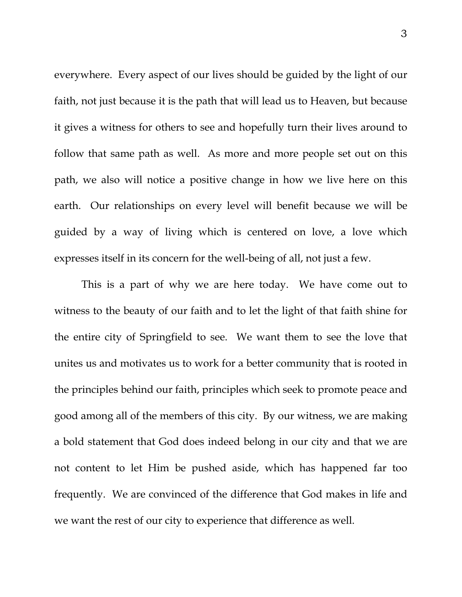everywhere. Every aspect of our lives should be guided by the light of our faith, not just because it is the path that will lead us to Heaven, but because it gives a witness for others to see and hopefully turn their lives around to follow that same path as well. As more and more people set out on this path, we also will notice a positive change in how we live here on this earth. Our relationships on every level will benefit because we will be guided by a way of living which is centered on love, a love which expresses itself in its concern for the well-being of all, not just a few.

This is a part of why we are here today. We have come out to witness to the beauty of our faith and to let the light of that faith shine for the entire city of Springfield to see. We want them to see the love that unites us and motivates us to work for a better community that is rooted in the principles behind our faith, principles which seek to promote peace and good among all of the members of this city. By our witness, we are making a bold statement that God does indeed belong in our city and that we are not content to let Him be pushed aside, which has happened far too frequently. We are convinced of the difference that God makes in life and we want the rest of our city to experience that difference as well.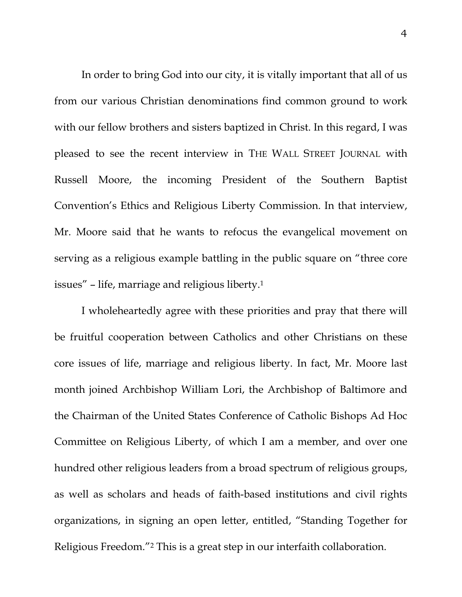In order to bring God into our city, it is vitally important that all of us from our various Christian denominations find common ground to work with our fellow brothers and sisters baptized in Christ. In this regard, I was pleased to see the recent interview in THE WALL STREET JOURNAL with Russell Moore, the incoming President of the Southern Baptist Convention's Ethics and Religious Liberty Commission. In that interview, Mr. Moore said that he wants to refocus the evangelical movement on serving as a religious example battling in the public square on "three core issues" – life, marriage and religious liberty.1

I wholeheartedly agree with these priorities and pray that there will be fruitful cooperation between Catholics and other Christians on these core issues of life, marriage and religious liberty. In fact, Mr. Moore last month joined Archbishop William Lori, the Archbishop of Baltimore and the Chairman of the United States Conference of Catholic Bishops Ad Hoc Committee on Religious Liberty, of which I am a member, and over one hundred other religious leaders from a broad spectrum of religious groups, as well as scholars and heads of faith-based institutions and civil rights organizations, in signing an open letter, entitled, "Standing Together for Religious Freedom."2 This is a great step in our interfaith collaboration.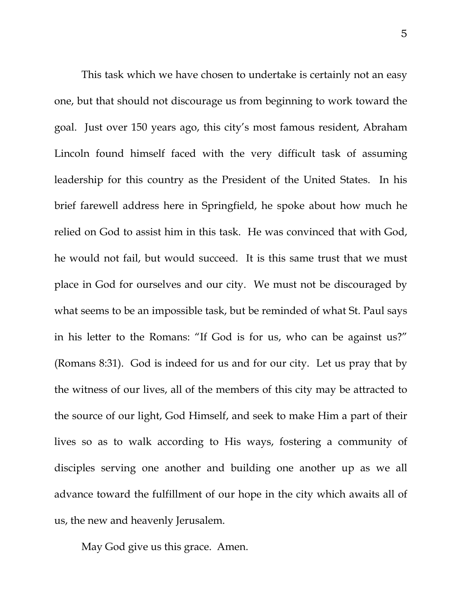This task which we have chosen to undertake is certainly not an easy one, but that should not discourage us from beginning to work toward the goal. Just over 150 years ago, this city's most famous resident, Abraham Lincoln found himself faced with the very difficult task of assuming leadership for this country as the President of the United States. In his brief farewell address here in Springfield, he spoke about how much he relied on God to assist him in this task. He was convinced that with God, he would not fail, but would succeed. It is this same trust that we must place in God for ourselves and our city. We must not be discouraged by what seems to be an impossible task, but be reminded of what St. Paul says in his letter to the Romans: "If God is for us, who can be against us?" (Romans 8:31). God is indeed for us and for our city. Let us pray that by the witness of our lives, all of the members of this city may be attracted to the source of our light, God Himself, and seek to make Him a part of their lives so as to walk according to His ways, fostering a community of disciples serving one another and building one another up as we all advance toward the fulfillment of our hope in the city which awaits all of us, the new and heavenly Jerusalem.

May God give us this grace. Amen.